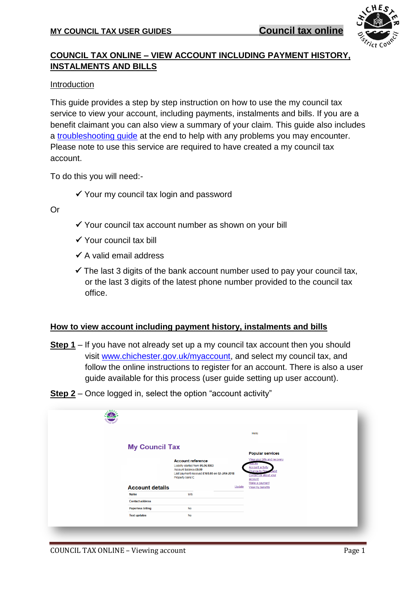

# **COUNCIL TAX ONLINE – VIEW ACCOUNT INCLUDING PAYMENT HISTORY, INSTALMENTS AND BILLS**

#### Introduction

This guide provides a step by step instruction on how to use the my council tax service to view your account, including payments, instalments and bills. If you are a benefit claimant you can also view a summary of your claim. This guide also includes a [troubleshooting guide](#page-3-0) at the end to help with any problems you may encounter. Please note to use this service are required to have created a my council tax account.

To do this you will need:-

 $\checkmark$  Your my council tax login and password

Or

- $\checkmark$  Your council tax account number as shown on your bill
- $\checkmark$  Your council tax bill
- $\checkmark$  A valid email address
- $\checkmark$  The last 3 digits of the bank account number used to pay your council tax, or the last 3 digits of the latest phone number provided to the council tax office.

### **How to view account including payment history, instalments and bills**

- **Step 1** If you have not already set up a my council tax account then you should visit [www.chichester.gov.uk/myaccount,](http://www.chichester.gov.uk/myaccount) and select my council tax, and follow the online instructions to register for an account. There is also a user guide available for this process (user guide setting up user account).
- **Step 2** Once logged in, select the option "account activity"

|                          |                                                                                                                                                           |        | Hello                                                                                                                             |
|--------------------------|-----------------------------------------------------------------------------------------------------------------------------------------------------------|--------|-----------------------------------------------------------------------------------------------------------------------------------|
| <b>My Council Tax</b>    |                                                                                                                                                           |        |                                                                                                                                   |
|                          |                                                                                                                                                           |        | <b>Popular services</b>                                                                                                           |
|                          | <b>Account reference</b><br>Liability started from 01.04.1993<br>Account balance £0.00<br>Last payment received £161.00 on 02-JAN-2018<br>Property band C |        | View your bills and recovery<br>ouces<br>Account activity<br>Change to Dire<br>Contact us about your<br>account<br>Make a payment |
| <b>Account details</b>   |                                                                                                                                                           | Update | View my benefits                                                                                                                  |
| <b>Name</b>              | Mrs.                                                                                                                                                      |        |                                                                                                                                   |
| <b>Contact address</b>   |                                                                                                                                                           |        |                                                                                                                                   |
| <b>Paperless billing</b> | <b>No</b>                                                                                                                                                 |        |                                                                                                                                   |
| <b>Text updates</b>      | <b>No</b>                                                                                                                                                 |        |                                                                                                                                   |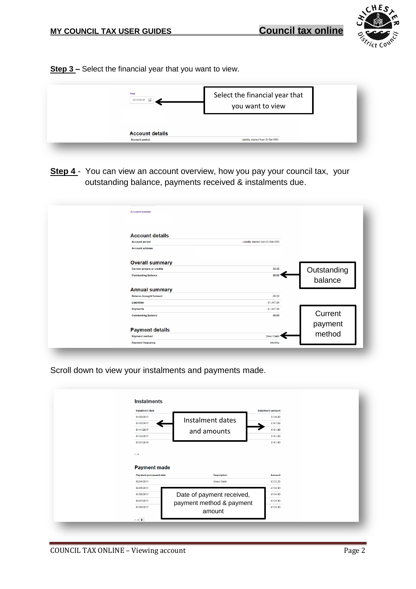

**Step 3 –** Select the financial year that you want to view.

| Year<br>2017/2018      | Select the financial year that<br>you want to view |
|------------------------|----------------------------------------------------|
|                        |                                                    |
| <b>Account details</b> |                                                    |
|                        | Liability started from 01/04/1993                  |

**Step 4** - You can view an account overview, how you pay your council tax, your outstanding balance, payments received & instalments due.

| <b>Account number</b>             |                                   |                        |
|-----------------------------------|-----------------------------------|------------------------|
| <b>Account details</b>            |                                   |                        |
| <b>Account period</b>             | Liability started from 01/04/1993 |                        |
| <b>Account address</b>            |                                   |                        |
| <b>Overall summary</b>            |                                   |                        |
| <b>Current arrears or credits</b> | €0.00                             |                        |
| <b>Outstanding balance</b>        | €0.00                             | Outstanding<br>balance |
| <b>Annual summary</b>             |                                   |                        |
| <b>Balance brought forward</b>    | £0.00                             |                        |
| <b>Liabilities</b>                | €1,447.84                         |                        |
| Payments                          | $-0.447.84$                       |                        |
| <b>Outstanding balance</b>        | £0.00                             | Current                |
|                                   |                                   | payment                |
| <b>Payment details</b>            |                                   |                        |
| <b>Payment method</b>             | <b>Direct Deb</b>                 | method                 |
| <b>Payment frequency</b>          | Monthly                           |                        |

Scroll down to view your instalments and payments made.

| €134.00<br>€161.59<br>€161.00<br>€161.00<br>€161.00 |
|-----------------------------------------------------|
|                                                     |
|                                                     |
|                                                     |
|                                                     |
|                                                     |
| Amount                                              |
| $-6133.25$                                          |
| $-6134.00$                                          |
| $-6134.00$                                          |
| $-0.134.00$                                         |
| $-0.134,00$                                         |
|                                                     |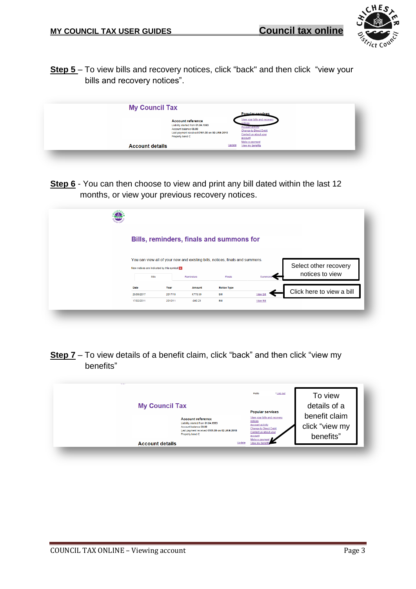

**Step 5** – To view bills and recovery notices, click "back" and then click "view your bills and recovery notices".

| <b>My Council Tax</b>  |                                                                                                                                                           |         |                                                                                                                                   |  |
|------------------------|-----------------------------------------------------------------------------------------------------------------------------------------------------------|---------|-----------------------------------------------------------------------------------------------------------------------------------|--|
|                        |                                                                                                                                                           |         | <b>Popular services</b>                                                                                                           |  |
|                        | <b>Account reference</b><br>Liability started from 01.04.1993<br>Account balance £0.00<br>Last payment received £161.00 on 02-JAN-2018<br>Property band C | account | View your bills and recovery<br><b>Account acuvit</b><br><b>Change to Direct Debit</b><br>Contact us about your<br>Make a payment |  |
| <b>Account details</b> |                                                                                                                                                           | Update  | View my benefits                                                                                                                  |  |

**Step 6** - You can then choose to view and print any bill dated within the last 12 months, or view your previous recovery notices.

|            | Bills, reminders, finals and summons for                                      |           |                    |                      |                           |
|------------|-------------------------------------------------------------------------------|-----------|--------------------|----------------------|---------------------------|
|            | You can view all of your new and existing bills, notices, finals and summons. |           |                    |                      |                           |
|            | New notices are indicated by this symbol of                                   |           |                    |                      | Select other recovery     |
|            |                                                                               |           |                    |                      |                           |
|            | <b>Bills</b>                                                                  | Reminders | Finals             | Summons <sup>®</sup> | notices to view           |
| Date       | Year                                                                          | Amount    | <b>Notice Type</b> |                      |                           |
| 25/08/2017 | 2017/18                                                                       | £778.59   | Bill               | View Bil             | Click here to view a bill |

**Step 7** – To view details of a benefit claim, click "back" and then click "view my benefits"